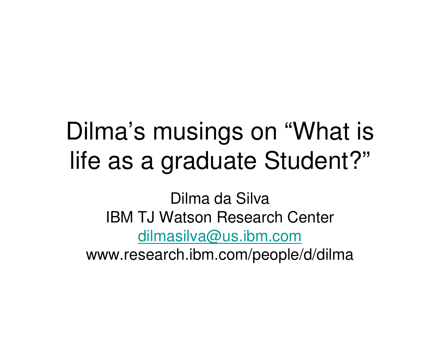### Dilma's musings on "What is life as a graduate Student?"

Dilma da Silva IBM TJ Watson Research Centerdilmasilva@us.ibm.comwww.research.ibm.com/people/d/dilma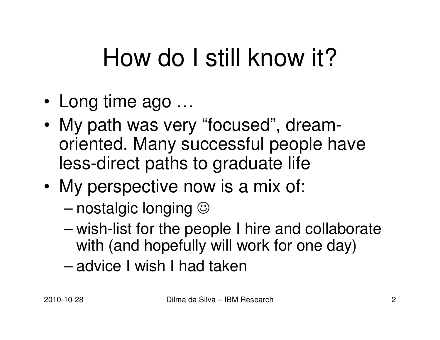## How do I still know it?

- •Long time ago …
- IVIV DAIN WAS VE My path was very "focused", dreamoriented. Many successful people have less-direct paths to graduate life
- • My perspective now is a mix of:
	- and the state of the state nostalgic longing  $\odot$
	- $-$  wish-list tor the na wish-list for the people I hire and collaborate with (and hopefully will work for one day)
	- and the state of the state advice I wish I had taken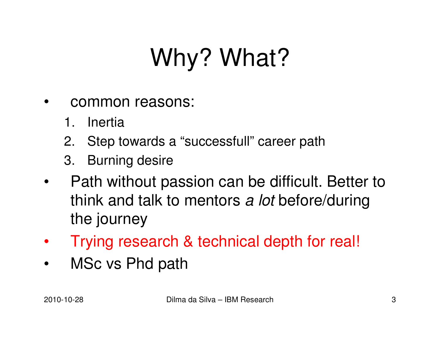# Why? What?

- • common reasons:
	- 1. Inertia
	- 2. Step towards a "successfull" career path
	- 3. Burning desire
- $\bullet$  Path without passion can be difficult. Better to think and talk to mentors *a lot* before/during the journey
- •Trying research & technical depth for real!
- •MSc vs Phd path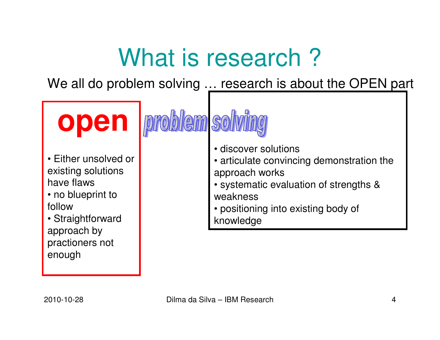## What is research?

We all do problem solving .<u>.. research is about the OPEN pa</u>rt

**open**• Either unsolved or existing solutions have flaws • no blueprint to follow • Straightforward approach by practioners not enough • discover solutions • articulate convincing demonstration the approach works • systematic evaluation of strengths & weakness • positioning into existing body of knowledge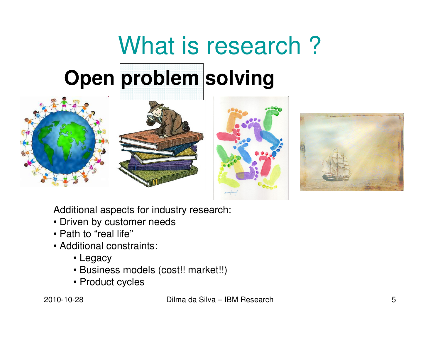# What is research? **Open problem solving**









Additional aspects for industry research:

- Driven by customer needs
- Path to "real life"
- Additional constraints:
	- Legacy
	- Business models (cost!! market!!)
	- Product cycles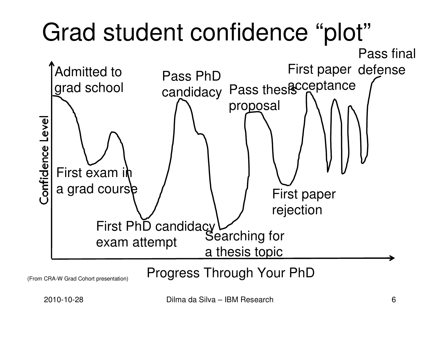#### Grad student confidence "plot" Pass finalFirst paper defense Admitted to Pass PhD<br>grad school candidacy Pass these ceptanc acceptancePass thesi**s** proposalConfidence Level First exam in a grad cours<del>þ</del> First paperrejectionFirst PhD candidacy exam attemptSearching for a thesis topicProgress Through Your PhD

(From CRA-W Grad Cohort presentation)

2010-10-28 Dilma da Silva – IBM Research 6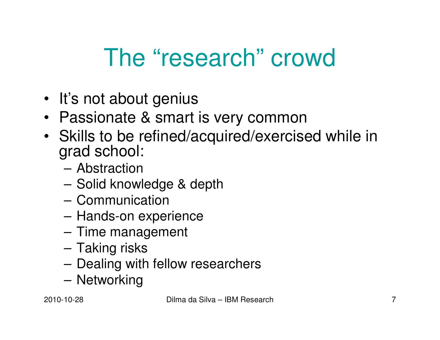#### The "research" crowd

- It's not about genius
- Passionate & smart is very common
- Skills to be refined/acquired/exercised while in grad school:
	- –Abstraction
	- Solid knov Solid knowledge & depth
	- –**Communication**
	- –Hands-on experience
	- –Time management
	- –Taking risks
	- –Dealing with fellow researchers
	- –**Networking**